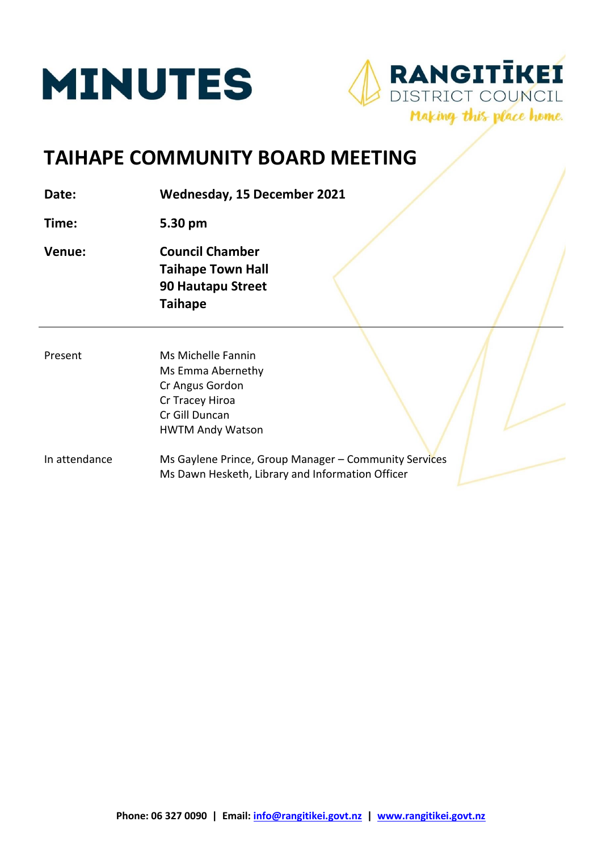



# **TAIHAPE COMMUNITY BOARD MEETING**

**Date: Wednesday, 15 December 2021**

**Time: 5.30 pm**

- **Venue: Council Chamber Taihape Town Hall 90 Hautapu Street Taihape**
- Present Ms Michelle Fannin Ms Emma Abernethy Cr Angus Gordon Cr Tracey Hiroa Cr Gill Duncan HWTM Andy Watson
- In attendance Ms Gaylene Prince, Group Manager Community Services Ms Dawn Hesketh, Library and Information Officer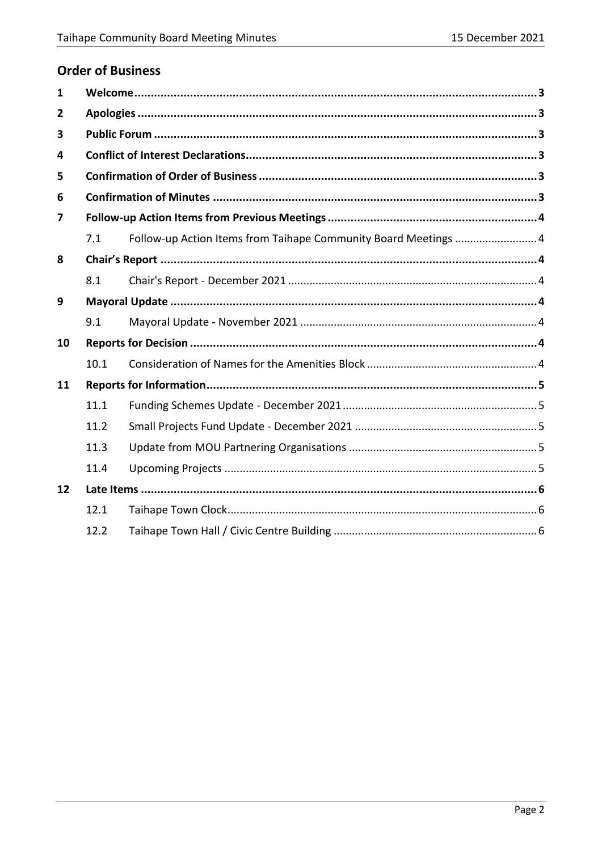## **Order of Business**

| 1  |      |                                                                 |  |
|----|------|-----------------------------------------------------------------|--|
| 2  |      |                                                                 |  |
| 3  |      |                                                                 |  |
| 4  |      |                                                                 |  |
| 5  |      |                                                                 |  |
| 6  |      |                                                                 |  |
| 7  |      |                                                                 |  |
|    | 7.1  | Follow-up Action Items from Taihape Community Board Meetings  4 |  |
| 8  |      |                                                                 |  |
|    | 8.1  |                                                                 |  |
| 9  |      |                                                                 |  |
|    | 9.1  |                                                                 |  |
| 10 |      |                                                                 |  |
|    | 10.1 |                                                                 |  |
| 11 |      |                                                                 |  |
|    | 11.1 |                                                                 |  |
|    | 11.2 |                                                                 |  |
|    | 11.3 |                                                                 |  |
|    | 11.4 |                                                                 |  |
| 12 |      |                                                                 |  |
|    | 12.1 |                                                                 |  |
|    | 12.2 |                                                                 |  |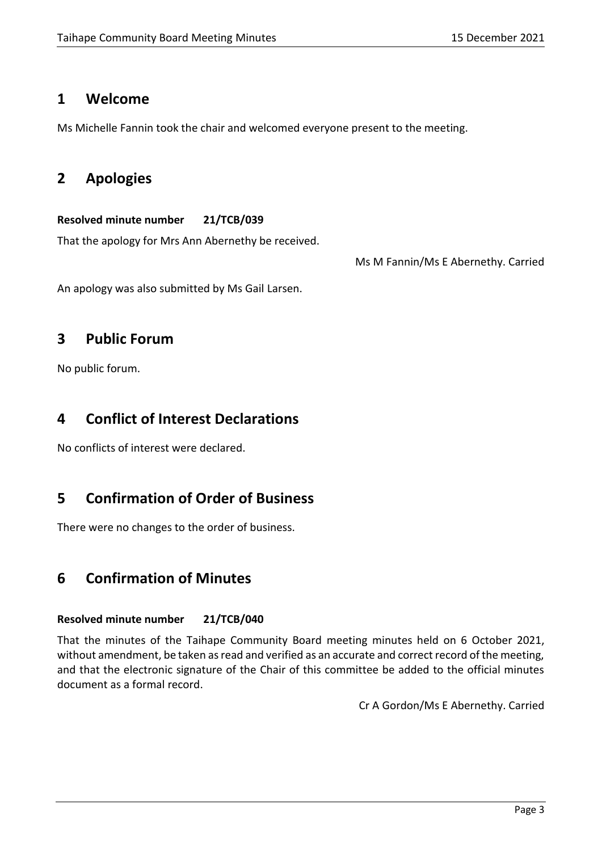### <span id="page-2-0"></span>**1 Welcome**

Ms Michelle Fannin took the chair and welcomed everyone present to the meeting.

# <span id="page-2-1"></span>**2 Apologies**

### **Resolved minute number 21/TCB/039**

That the apology for Mrs Ann Abernethy be received.

Ms M Fannin/Ms E Abernethy. Carried

An apology was also submitted by Ms Gail Larsen.

# <span id="page-2-2"></span>**3 Public Forum**

No public forum.

# <span id="page-2-3"></span>**4 Conflict of Interest Declarations**

No conflicts of interest were declared.

# <span id="page-2-4"></span>**5 Confirmation of Order of Business**

There were no changes to the order of business.

# <span id="page-2-5"></span>**6 Confirmation of Minutes**

### **Resolved minute number 21/TCB/040**

That the minutes of the Taihape Community Board meeting minutes held on 6 October 2021, without amendment, be taken as read and verified as an accurate and correct record of the meeting, and that the electronic signature of the Chair of this committee be added to the official minutes document as a formal record.

Cr A Gordon/Ms E Abernethy. Carried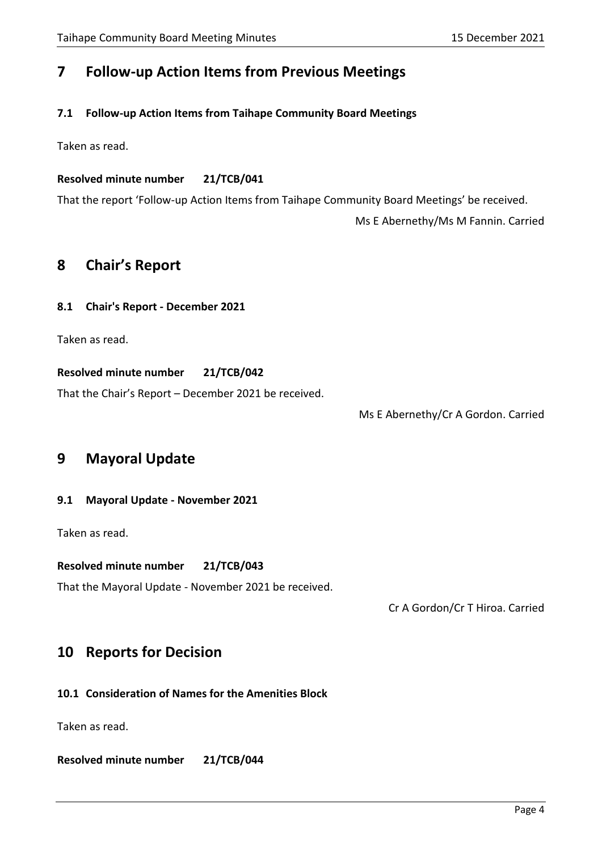# <span id="page-3-0"></span>**7 Follow-up Action Items from Previous Meetings**

### <span id="page-3-1"></span>**7.1 Follow-up Action Items from Taihape Community Board Meetings**

Taken as read.

### **Resolved minute number 21/TCB/041**

That the report 'Follow-up Action Items from Taihape Community Board Meetings' be received.

Ms E Abernethy/Ms M Fannin. Carried

### <span id="page-3-2"></span>**8 Chair's Report**

#### <span id="page-3-3"></span>**8.1 Chair's Report - December 2021**

Taken as read.

**Resolved minute number 21/TCB/042**

That the Chair's Report – December 2021 be received.

Ms E Abernethy/Cr A Gordon. Carried

## <span id="page-3-4"></span>**9 Mayoral Update**

### <span id="page-3-5"></span>**9.1 Mayoral Update - November 2021**

Taken as read.

#### **Resolved minute number 21/TCB/043**

That the Mayoral Update - November 2021 be received.

Cr A Gordon/Cr T Hiroa. Carried

## <span id="page-3-6"></span>**10 Reports for Decision**

### <span id="page-3-7"></span>**10.1 Consideration of Names for the Amenities Block**

Taken as read.

**Resolved minute number 21/TCB/044**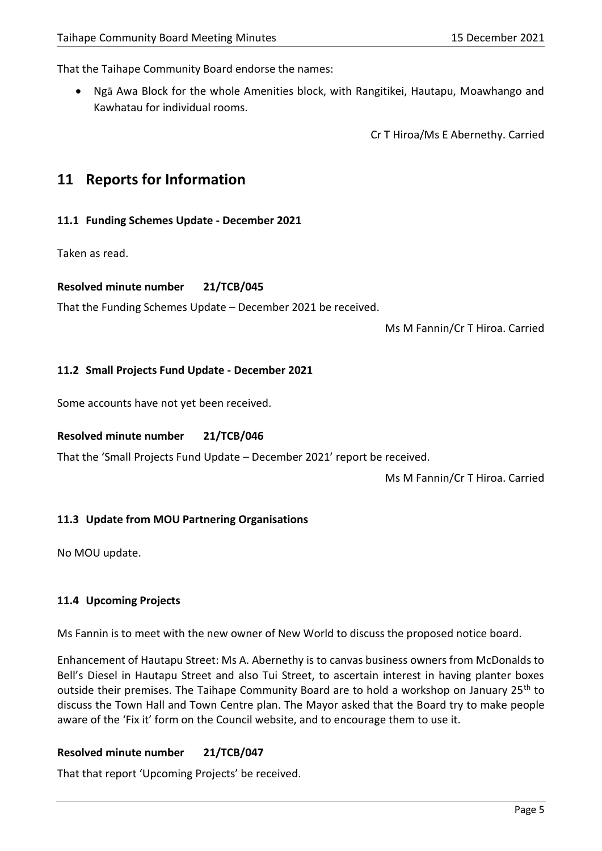That the Taihape Community Board endorse the names:

• Ngā Awa Block for the whole Amenities block, with Rangitikei, Hautapu, Moawhango and Kawhatau for individual rooms.

Cr T Hiroa/Ms E Abernethy. Carried

## <span id="page-4-0"></span>**11 Reports for Information**

#### <span id="page-4-1"></span>**11.1 Funding Schemes Update - December 2021**

Taken as read.

#### **Resolved minute number 21/TCB/045**

That the Funding Schemes Update – December 2021 be received.

Ms M Fannin/Cr T Hiroa. Carried

#### <span id="page-4-2"></span>**11.2 Small Projects Fund Update - December 2021**

Some accounts have not yet been received.

#### **Resolved minute number 21/TCB/046**

That the 'Small Projects Fund Update – December 2021' report be received.

Ms M Fannin/Cr T Hiroa. Carried

#### <span id="page-4-3"></span>**11.3 Update from MOU Partnering Organisations**

No MOU update.

### <span id="page-4-4"></span>**11.4 Upcoming Projects**

Ms Fannin is to meet with the new owner of New World to discuss the proposed notice board.

Enhancement of Hautapu Street: Ms A. Abernethy is to canvas business owners from McDonalds to Bell's Diesel in Hautapu Street and also Tui Street, to ascertain interest in having planter boxes outside their premises. The Taihape Community Board are to hold a workshop on January 25<sup>th</sup> to discuss the Town Hall and Town Centre plan. The Mayor asked that the Board try to make people aware of the 'Fix it' form on the Council website, and to encourage them to use it.

#### **Resolved minute number 21/TCB/047**

That that report 'Upcoming Projects' be received.